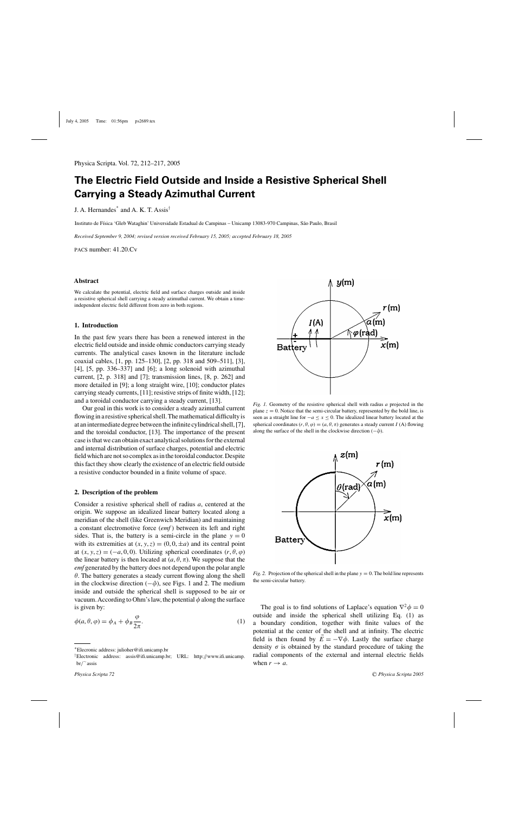# **The Electric Field Outside and Inside a Resistive Spherical Shell Carrying a Steady Azimuthal Current**

J. A. Hernandes\* and A. K. T. Assis†

Instituto de Física 'Gleb Wataghin' Universidade Estadual de Campinas - Unicamp 13083-970 Campinas, São Paulo, Brasil

*Received September 9, 2004; revised version received February 15, 2005; accepted February 18, 2005*

pacs number: 41.20.Cv

## **Abstract**

We calculate the potential, electric field and surface charges outside and inside a resistive spherical shell carrying a steady azimuthal current. We obtain a timeindependent electric field different from zero in both regions.

### **1. Introduction**

In the past few years there has been a renewed interest in the electric field outside and inside ohmic conductors carrying steady currents. The analytical cases known in the literature include coaxial cables, [1, pp. 125–130], [2, pp. 318 and 509–511], [3], [4], [5, pp. 336–337] and [6]; a long solenoid with azimuthal current, [2, p. 318] and [7]; transmission lines, [8, p. 262] and more detailed in [9]; a long straight wire, [10]; conductor plates carrying steady currents, [11]; resistive strips of finite width, [12]; and a toroidal conductor carrying a steady current, [13].

Our goal in this work is to consider a steady azimuthal current flowing in a resistive spherical shell. The mathematical difficulty is at an intermediate degree between the infinite cylindrical shell, [7], and the toroidal conductor, [13]. The importance of the present case is that we can obtain exact analytical solutions for the external and internal distribution of surface charges, potential and electric field which are not so complex as in the toroidal conductor. Despite this fact they show clearly the existence of an electric field outside a resistive conductor bounded in a finite volume of space.

#### **2. Description of the problem**

Consider a resistive spherical shell of radius a, centered at the origin. We suppose an idealized linear battery located along a meridian of the shell (like Greenwich Meridian) and maintaining a constant electromotive force (*emf* ) between its left and right sides. That is, the battery is a semi-circle in the plane  $y = 0$ with its extremities at  $(x, y, z) = (0, 0, \pm a)$  and its central point at  $(x, y, z) = (-a, 0, 0)$ . Utilizing spherical coordinates  $(r, \theta, \varphi)$ the linear battery is then located at  $(a, \theta, \pi)$ . We suppose that the *emf* generated by the battery does not depend upon the polar angle  $\theta$ . The battery generates a steady current flowing along the shell in the clockwise direction  $(-\hat{\varphi})$ , see Figs. 1 and 2. The medium inside and outside the spherical shell is supposed to be air or vacuum. According to Ohm's law, the potential  $\phi$  along the surface is given by:

$$
\phi(a,\theta,\varphi) = \phi_A + \phi_B \frac{\varphi}{2\pi}.
$$
\n(1)



*Fig. 1.* Geometry of the resistive spherical shell with radius a projected in the plane  $z = 0$ . Notice that the semi-circular battery, represented by the bold line, is seen as a straight line for  $-a \le x \le 0$ . The idealized linear battery located at the spherical coordinates  $(r, \theta, \varphi) = (a, \theta, \pi)$  generates a steady current I (A) flowing along the surface of the shell in the clockwise direction  $(-\hat{\varphi})$ .



*Fig.* 2. Projection of the spherical shell in the plane  $y = 0$ . The bold line represents the semi-circular battery.

The goal is to find solutions of Laplace's equation  $\nabla^2 \phi = 0$ outside and inside the spherical shell utilizing Eq. (1) as a boundary condition, together with finite values of the potential at the center of the shell and at infinity. The electric field is then found by  $\vec{E} = -\nabla \phi$ . Lastly the surface charge density  $\sigma$  is obtained by the standard procedure of taking the radial components of the external and internal electric fields when  $r \rightarrow a$ .

<sup>\*</sup>Elecronic address: julioher@ifi.unicamp.br

<sup>†</sup>Electronic address: assis@ifi.unicamp.br; URL: http://www.ifi.unicamp. br/∼assis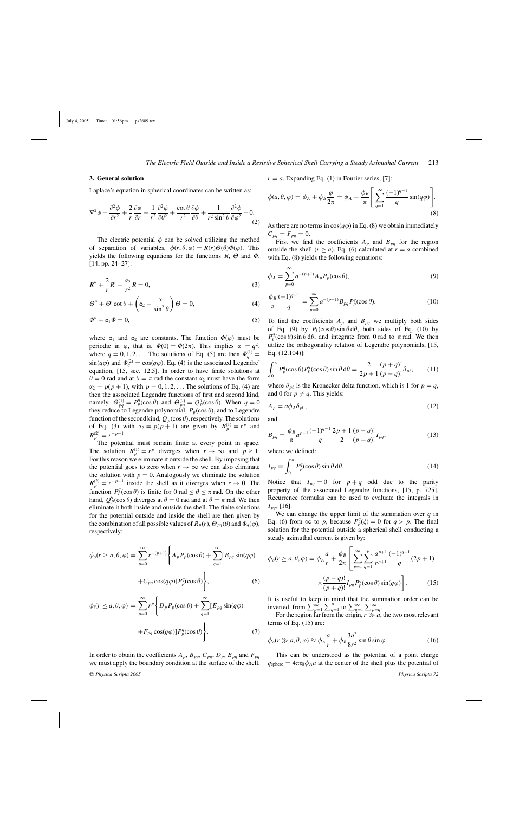# **3. General solution**

Laplace's equation in spherical coordinates can be written as:

$$
\nabla^2 \phi = \frac{\partial^2 \phi}{\partial r^2} + \frac{2}{r} \frac{\partial \phi}{\partial r} + \frac{1}{r^2} \frac{\partial^2 \phi}{\partial \theta^2} + \frac{\cot \theta}{r^2} \frac{\partial \phi}{\partial \theta} + \frac{1}{r^2 \sin^2 \theta} \frac{\partial^2 \phi}{\partial \varphi^2} = 0.
$$
\n(2)

The electric potential  $\phi$  can be solved utilizing the method of separation of variables,  $\phi(r, \theta, \varphi) = R(r) \Theta(\theta) \Phi(\varphi)$ . This yields the following equations for the functions  $R$ ,  $\Theta$  and  $\Phi$ , [14, pp. 24–27]:

$$
R'' + \frac{2}{r}R' - \frac{\alpha_2}{r^2}R = 0,
$$
\n(3)

$$
\Theta'' + \Theta' \cot \theta + \left(\alpha_2 - \frac{\alpha_1}{\sin^2 \theta}\right) \Theta = 0, \tag{4}
$$

$$
\Phi'' + \alpha_1 \Phi = 0,\tag{5}
$$

where  $\alpha_1$  and  $\alpha_2$  are constants. The function  $\Phi(\varphi)$  must be periodic in  $\varphi$ , that is,  $\Phi(0) = \Phi(2\pi)$ . This implies  $\alpha_1 = q^2$ , where  $q = 0, 1, 2, \dots$  The solutions of Eq. (5) are then  $\Phi_q^{(1)} =$  $\sin(q\varphi)$  and  $\Phi_q^{(2)} = \cos(q\varphi)$ . Eq. (4) is the associated Legendre' equation, [15, sec. 12.5]. In order to have finite solutions at  $\theta = 0$  rad and at  $\theta = \pi$  rad the constant  $\alpha_2$  must have the form  $\alpha_2 = p(p+1)$ , with  $p = 0, 1, 2, \dots$  The solutions of Eq. (4) are then the associated Legendre functions of first and second kind, namely,  $\Theta_{pq}^{(1)} = P_p^q(\cos \theta)$  and  $\Theta_{pq}^{(2)} = Q_p^q(\cos \theta)$ . When  $q = 0$ they reduce to Legendre polynomial,  $P_p(\cos \theta)$ , and to Legendre function of the second kind,  $Q_p(\cos \theta)$ , respectively. The solutions of Eq. (3) with  $\alpha_2 = p(p+1)$  are given by  $R_p^{(1)} = r^p$  and  $R_p^{(2)} = r^{-p-1}.$ 

The potential must remain finite at every point in space. The solution  $R_p^{(1)} = r^p$  diverges when  $r \to \infty$  and  $p \ge 1$ . For this reason we eliminate it outside the shell. By imposing that the potential goes to zero when  $r \to \infty$  we can also eliminate the solution with  $p = 0$ . Analogously we eliminate the solution  $R_p^{(2)} = r^{-p-1}$  inside the shell as it diverges when  $r \to 0$ . The function  $P_p^q(\cos \theta)$  is finite for 0 rad  $\leq \theta \leq \pi$  rad. On the other hand,  $Q_p^q(\cos \theta)$  diverges at  $\theta = 0$  rad and at  $\theta = \pi$  rad. We then eliminate it both inside and outside the shell. The finite solutions for the potential outside and inside the shell are then given by the combination of all possible values of  $R_p(r)$ ,  $\Theta_{pq}(\theta)$  and  $\Phi_q(\varphi)$ , respectively:

$$
\phi_o(r \ge a, \theta, \varphi) = \sum_{p=0}^{\infty} r^{-(p+1)} \left\{ A_p P_p(\cos \theta) + \sum_{q=1}^{\infty} [B_{pq} \sin(q\varphi) + C_{pq} \cos(q\varphi)] P_p^q(\cos \theta) \right\},
$$
\n(6)

$$
\phi_i(r \le a, \theta, \varphi) = \sum_{p=0}^{\infty} r^p \Bigg\{ D_p P_p(\cos \theta) + \sum_{q=1}^{\infty} [E_{pq} \sin(q\varphi) + F_{pq} \cos(q\varphi)] P_p^q(\cos \theta) \Bigg\}.
$$
\n(7)

In order to obtain the coefficients  $A_p$ ,  $B_{pq}$ ,  $C_{pq}$ ,  $D_p$ ,  $E_{pq}$  and  $F_{pq}$ we must apply the boundary condition at the surface of the shell,  $r = a$ . Expanding Eq. (1) in Fourier series, [7]:

$$
\phi(a,\theta,\varphi) = \phi_A + \phi_B \frac{\varphi}{2\pi} = \phi_A + \frac{\phi_B}{\pi} \left[ \sum_{q=1}^{\infty} \frac{(-1)^{q-1}}{q} \sin(q\varphi) \right].
$$
\n(8)

As there are no terms in  $cos(q\varphi)$  in Eq. (8) we obtain immediately  $C_{pq} = F_{pq} = 0.$ 

First we find the coefficients  $A_p$  and  $B_{pq}$  for the region outside the shell ( $r \ge a$ ). Eq. (6) calculated at  $r = a$  combined with Eq. (8) yields the following equations:

$$
\phi_A = \sum_{p=0}^{\infty} a^{-(p+1)} A_p P_p(\cos \theta),\tag{9}
$$

$$
\frac{\phi_B}{\pi} \frac{(-1)^{q-1}}{q} = \sum_{p=0}^{\infty} a^{-(p+1)} B_{pq} P_p^q(\cos \theta). \tag{10}
$$

To find the coefficients  $A_p$  and  $B_{pq}$  we multiply both sides of Eq. (9) by  $P_{\ell}(\cos \theta) \sin \theta d\theta$ , both sides of Eq. (10) by  $P_\ell^q(\cos\theta)$  sin  $\theta$  d $\theta$ , and integrate from 0 rad to  $\pi$  rad. We then utilize the orthogonality relation of Legendre polynomials, [15, Eq. (12.104)]:

$$
\int_0^{\pi} P_p^q(\cos \theta) P_\ell^q(\cos \theta) \sin \theta \, d\theta = \frac{2}{2p+1} \frac{(p+q)!}{(p-q)!} \delta_{p\ell},\qquad(11)
$$

where  $\delta_{p\ell}$  is the Kronecker delta function, which is 1 for  $p = q$ , and 0 for  $p \neq q$ . This yields:

$$
A_p = a\phi_A \delta_{p0},\tag{12}
$$

and

$$
B_{pq} = \frac{\phi_B}{\pi} a^{p+1} \frac{(-1)^{q-1}}{q} \frac{2p+1}{2} \frac{(p-q)!}{(p+q)!} I_{pq},
$$
(13)

where we defined:

$$
I_{pq} \equiv \int_0^{\pi} P_p^q(\cos \theta) \sin \theta \, d\theta. \tag{14}
$$

Notice that  $I_{pq} = 0$  for  $p + q$  odd due to the parity property of the associated Legendre functions, [15, p. 725]. Recurrence formulas can be used to evaluate the integrals in  $I_{pq}$ , [16].

We can change the upper limit of the summation over  $q$  in Eq. (6) from  $\infty$  to p, because  $P_p^q(\xi) = 0$  for  $q > p$ . The final solution for the potential outside a spherical shell conducting a steady azimuthal current is given by:

$$
\phi_o(r \ge a, \theta, \varphi) = \phi_A \frac{a}{r} + \frac{\phi_B}{2\pi} \left[ \sum_{p=1}^{\infty} \sum_{q=1}^{p} \frac{a^{p+1}}{r^{p+1}} \frac{(-1)^{q-1}}{q} (2p+1) \times \frac{(p-q)!}{(p+q)!} I_{pq} P_p^q(\cos \theta) \sin(q\varphi) \right].
$$
 (15)

It is useful to keep in mind that the summation order can be inverted, from  $\sum_{p=1}^{\infty} \sum_{q=1}^{p}$  to  $\sum_{q=1}^{\infty} \sum_{p=q}^{\infty}$ .

For the region far from the origin,  $r \gg a$ , the two most relevant terms of Eq. (15) are:

$$
\phi_o(r \gg a, \theta, \varphi) \approx \phi_A \frac{a}{r} + \phi_B \frac{3a^2}{8r^2} \sin \theta \sin \varphi.
$$
 (16)

This can be understood as the potential of a point charge  $q_{\text{sphere}} = 4\pi\epsilon_0\phi_A a$  at the center of the shell plus the potential of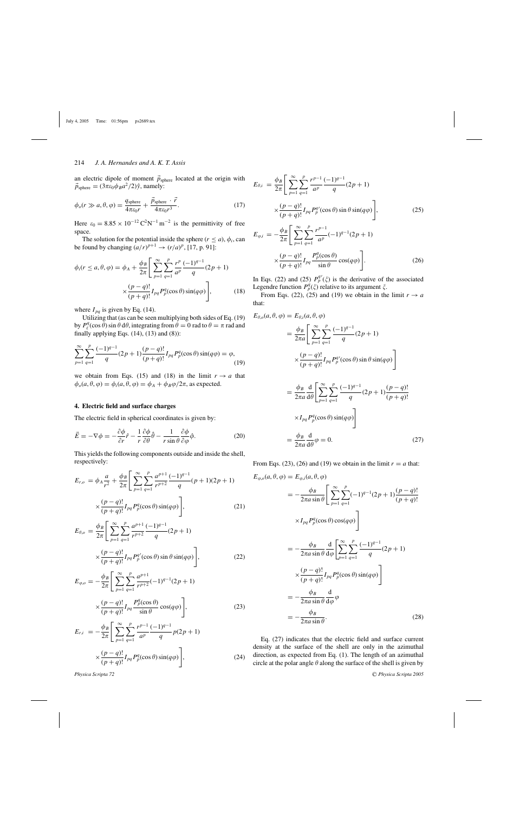## 214 *J. A. Hernandes and A. K. T. Assis*

an electric dipole of moment  $\vec{p}_{sphere}$  located at the origin with  $\vec{p}_{\text{sphere}} = (3\pi\varepsilon_0 \phi_B a^2/2)\hat{y}$ , namely:

$$
\phi_o(r \gg a, \theta, \varphi) = \frac{q_{\text{sphere}}}{4\pi\varepsilon_0 r} + \frac{\vec{p}_{\text{sphere}} \cdot \vec{r}}{4\pi\varepsilon_0 r^3}.
$$
\n(17)

Here  $\varepsilon_0 = 8.85 \times 10^{-12} \text{ C}^2 \text{N}^{-1} \text{ m}^{-2}$  is the permittivity of free space.

The solution for the potential inside the sphere ( $r \le a$ ),  $\phi_i$ , can be found by changing  $\left(\frac{a}{r}\right)^{p+1} \rightarrow \left(\frac{r}{a}\right)^p$ , [17, p. 91]:

$$
\phi_i(r \le a, \theta, \varphi) = \phi_A + \frac{\phi_B}{2\pi} \Bigg[ \sum_{p=1}^{\infty} \sum_{q=1}^{p} \frac{r^p}{a^p} \frac{(-1)^{q-1}}{q} (2p+1) \times \frac{(p-q)!}{(p+q)!} I_{pq} P_p^q(\cos \theta) \sin(q\varphi) \Bigg],
$$
(18)

where  $I_{pq}$  is given by Eq. (14).

Utilizing that (as can be seen multiplying both sides of Eq. (19) by  $P_\ell^q(\cos \theta) \sin \theta \, d\theta$ , integrating from  $\theta = 0$  rad to  $\theta = \pi$  rad and finally applying Eqs.  $(14)$ ,  $(13)$  and  $(8)$ ):

$$
\sum_{p=1}^{\infty} \sum_{q=1}^{p} \frac{(-1)^{q-1}}{q} (2p+1) \frac{(p-q)!}{(p+q)!} I_{pq} P_p^q(\cos \theta) \sin(q\varphi) = \varphi,
$$
\n(19)

we obtain from Eqs. (15) and (18) in the limit  $r \to a$  that  $\phi_o(a, \theta, \varphi) = \phi_i(a, \theta, \varphi) = \phi_A + \phi_B \varphi/2\pi$ , as expected.

# **4. Electric field and surface charges**

The electric field in spherical coordinates is given by:

$$
\vec{E} = -\nabla\phi = -\frac{\partial\phi}{\partial r}\hat{r} - \frac{1}{r}\frac{\partial\phi}{\partial\theta}\hat{\theta} - \frac{1}{r\sin\theta}\frac{\partial\phi}{\partial\varphi}\hat{\varphi}.
$$
 (20)

This yields the following components outside and inside the shell, respectively:

$$
E_{r,o} = \phi_A \frac{a}{r^2} + \frac{\phi_B}{2\pi} \Bigg[ \sum_{p=1}^{\infty} \sum_{q=1}^{p} \frac{a^{p+1}}{r^{p+2}} \frac{(-1)^{q-1}}{q} (p+1)(2p+1)
$$
  

$$
\times \frac{(p-q)!}{(p+q)!} I_{pq} P_p^q(\cos\theta) \sin(q\varphi) \Bigg],
$$
(21)  

$$
E_{\theta,o} = \frac{\phi_B}{2\pi} \Bigg[ \sum_{p=1}^{\infty} \sum_{q=1}^{p} \frac{a^{p+1}}{r^{p+2}} \frac{(-1)^{q-1}}{q} (2p+1)
$$
  

$$
\times \frac{(p-q)!}{(p+q)!} I_{pq} P_p^q(\cos\theta) \sin\theta \sin(q\varphi) \Bigg],
$$
(22)

$$
E_{\varphi,o} = -\frac{\phi_B}{2\pi} \Bigg[ \sum_{p=1}^{\infty} \sum_{q=1}^{p} \frac{a^{p+1}}{r^{p+2}} (-1)^{q-1} (2p+1) \times \frac{(p-q)!}{(p+q)!} I_{pq} \frac{P_p^q(\cos\theta)}{\sin\theta} \cos(q\varphi) \Bigg],
$$
 (23)

$$
(p+q)!^{pq} \sin \theta \qquad (p+q)!
$$
  

$$
E_{r,i} = -\frac{\phi_B}{2\pi} \left[ \sum_{n=1}^{\infty} \sum_{n=1}^{p} \frac{r^{p-1}}{a^p} \frac{(-1)^{q-1}}{q} p(2p+1) \right]
$$

$$
2\pi \left[ \sum_{p=1}^{\infty} \sum_{q=1}^{n} a^p \right] q^{P(-p+1)}
$$
  
 
$$
\times \frac{(p-q)!}{(p+q)!} I_{pq} P_p^q(\cos \theta) \sin(q\varphi) \Big],
$$
 (24)

$$
E_{\theta,i} = \frac{\phi_B}{2\pi} \Bigg[ \sum_{p=1}^{\infty} \sum_{q=1}^{p} \frac{r^{p-1}}{a^p} \frac{(-1)^{q-1}}{q} (2p+1) + \frac{(p-q)!}{(p+q)!} I_{pq} P_p^{q'}(\cos \theta) \sin \theta \sin(q\varphi) \Bigg],
$$
 (25)

$$
E_{\varphi,i} = -\frac{\phi_B}{2\pi} \Bigg[ \sum_{p=1}^{\infty} \sum_{q=1}^{p} \frac{r^{p-1}}{a^p} (-1)^{q-1} (2p+1) \times \frac{(p-q)!}{(p+q)!} I_{pq} \frac{P_p^q(\cos\theta)}{\sin\theta} \cos(q\varphi) \Bigg].
$$
 (26)

In Eqs. (22) and (25)  $P_p^{q'}(\xi)$  is the derivative of the associated Legendre function  $P_p^q(\xi)$  relative to its argument  $\xi$ .

From Eqs. (22), (25) and (19) we obtain in the limit  $r \to a$ that:

$$
E_{\theta,\rho}(a,\theta,\varphi) = E_{\theta,i}(a,\theta,\varphi)
$$
  
\n
$$
= \frac{\phi_B}{2\pi a} \Bigg[ \sum_{p=1}^{\infty} \sum_{q=1}^{p} \frac{(-1)^{q-1}}{q} (2p+1)
$$
  
\n
$$
\times \frac{(p-q)!}{(p+q)!} I_{pq} P_p^{q'}(\cos\theta) \sin\theta \sin(q\varphi) \Bigg]
$$
  
\n
$$
= \frac{\phi_B}{2\pi a} \frac{d}{d\theta} \Bigg[ \sum_{p=1}^{\infty} \sum_{q=1}^{p} \frac{(-1)^{q-1}}{q} (2p+1) \frac{(p-q)!}{(p+q)!}
$$
  
\n
$$
\times I_{pq} P_p^q(\cos\theta) \sin(q\varphi) \Bigg]
$$
  
\n
$$
\phi_B \ d
$$

 $=\frac{\phi_B}{2\pi a}$  $\frac{d}{d\theta}\varphi = 0.$  (27)

From Eqs. (23), (26) and (19) we obtain in the limit  $r = a$  that:

$$
E_{\varphi,o}(a,\theta,\varphi) = E_{\varphi,i}(a,\theta,\varphi)
$$
  
=  $-\frac{\phi_B}{2\pi a \sin \theta} \Bigg[ \sum_{p=1}^{\infty} \sum_{q=1}^{p} (-1)^{q-1} (2p+1) \frac{(p-q)!}{(p+q)!}$   
 $\times I_{pq} P_p^q(\cos \theta) \cos(q\varphi) \Bigg]$   
=  $-\frac{\phi_B}{2\pi a \sin \theta} \frac{d}{d\varphi} \Bigg[ \sum_{p=1}^{\infty} \sum_{q=1}^{p} \frac{(-1)^{q-1}}{q} (2p+1)$   
 $\times \frac{(p-q)!}{(p+q)!} I_{pq} P_p^q(\cos \theta) \sin(q\varphi) \Bigg]$   
=  $-\frac{\phi_B}{2\pi a \sin \theta} \frac{d}{d\varphi} \varphi$   
=  $-\frac{\phi_B}{2\pi a \sin \theta}.$  (28)

Eq. (27) indicates that the electric field and surface current density at the surface of the shell are only in the azimuthal direction, as expected from Eq. (1). The length of an azimuthal circle at the polar angle  $\theta$  along the surface of the shell is given by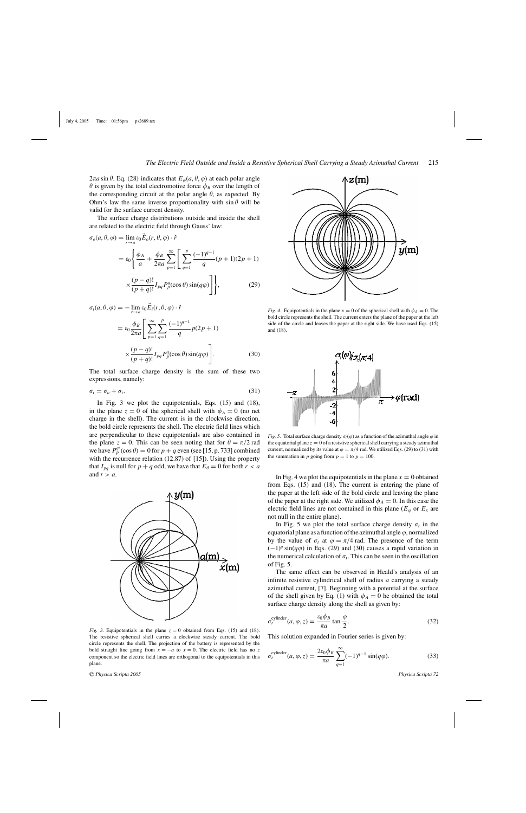$2\pi a \sin \theta$ . Eq. (28) indicates that  $E_{\varphi}(a, \theta, \varphi)$  at each polar angle  $\theta$  is given by the total electromotive force  $\phi_B$  over the length of the corresponding circuit at the polar angle  $\theta$ , as expected. By Ohm's law the same inverse proportionality with  $\sin \theta$  will be valid for the surface current density.

The surface charge distributions outside and inside the shell are related to the electric field through Gauss' law:

$$
\sigma_o(a, \theta, \varphi) = \lim_{r \to a} \varepsilon_0 E_o(r, \theta, \varphi) \cdot \hat{r}
$$
  

$$
= \varepsilon_0 \left\{ \frac{\phi_A}{a} + \frac{\phi_B}{2\pi a} \sum_{p=1}^{\infty} \left[ \sum_{q=1}^p \frac{(-1)^{q-1}}{q} (p+1)(2p+1) \right] \times \frac{(p-q)!}{(p+q)!} I_{pq} P_p^q(\cos \theta) \sin(q\varphi) \right\},
$$
(29)

$$
\sigma_i(a, \theta, \varphi) = -\lim_{r \to a} \varepsilon_0 \vec{E}_i(r, \theta, \varphi) \cdot \hat{r}
$$

$$
= \varepsilon_0 \frac{\phi_B}{2\pi a} \Bigg[ \sum_{p=1}^{\infty} \sum_{q=1}^{p} \frac{(-1)^{q-1}}{q} p(2p+1) \times \frac{(p-q)!}{(p+q)!} I_{pq} P_p^q(\cos \theta) \sin(q\varphi) \Bigg].
$$
 (30)

The total surface charge density is the sum of these two expressions, namely:

 $\sigma_t = \sigma_o + \sigma_i.$  (31)

In Fig. 3 we plot the equipotentials, Eqs. (15) and (18), in the plane  $z = 0$  of the spherical shell with  $\phi_A = 0$  (no net charge in the shell). The current is in the clockwise direction, the bold circle represents the shell. The electric field lines which are perpendicular to these equipotentials are also contained in the plane  $z = 0$ . This can be seen noting that for  $\theta = \pi/2$  rad we have  $P_p^{q'}(\cos \theta) = 0$  for  $p + q$  even (see [15, p. 733] combined with the recurrence relation (12.87) of [15]). Using the property that  $I_{pq}$  is null for  $p + q$  odd, we have that  $E_{\theta} = 0$  for both  $r < a$ and  $r>a$ .



*Fig.* 3. Equipotentials in the plane  $z = 0$  obtained from Eqs. (15) and (18). The resistive spherical shell carries a clockwise steady current. The bold circle represents the shell. The projection of the battery is represented by the bold straight line going from  $x = -a$  to  $x = 0$ . The electric field has no z component so the electric field lines are orthogonal to the equipotentials in this plane.



*Fig. 4.* Equipotentials in the plane  $x = 0$  of the spherical shell with  $\phi_A = 0$ . The bold circle represents the shell. The current enters the plane of the paper at the left side of the circle and leaves the paper at the right side. We have used Eqs. (15) and (18).



*Fig.* 5. Total surface charge density  $\sigma_t(\varphi)$  as a function of the azimuthal angle  $\varphi$  in the equatorial plane  $z = 0$  of a resistive spherical shell carrying a steady azimuthal current, normalized by its value at  $\varphi = \pi/4$  rad. We utilized Eqs. (29) to (31) with the summation in p going from  $p = 1$  to  $p = 100$ .

In Fig. 4 we plot the equipotentials in the plane  $x = 0$  obtained from Eqs. (15) and (18). The current is entering the plane of the paper at the left side of the bold circle and leaving the plane of the paper at the right side. We utilized  $\phi_A = 0$ . In this case the electric field lines are not contained in this plane ( $E_{\varphi}$  or  $E_x$  are not null in the entire plane).

In Fig. 5 we plot the total surface charge density  $\sigma_t$  in the equatorial plane as a function of the azimuthal angle  $\varphi$ , normalized by the value of  $\sigma_t$  at  $\varphi = \pi/4$  rad. The presence of the term  $(-1)^{q}$  sin( $q\varphi$ ) in Eqs. (29) and (30) causes a rapid variation in the numerical calculation of  $\sigma_t$ . This can be seen in the oscillation of Fig. 5.

The same effect can be observed in Heald's analysis of an infinite resistive cylindrical shell of radius  $a$  carrying a steady azimuthal current, [7]. Beginning with a potential at the surface of the shell given by Eq. (1) with  $\phi_A = 0$  he obtained the total surface charge density along the shell as given by:

$$
\sigma_t^{\text{cylinder}}(a,\varphi,z) = \frac{\varepsilon_0 \phi_B}{\pi a} \tan \frac{\varphi}{2}.
$$
 (32)

This solution expanded in Fourier series is given by:

$$
\sigma_t^{\text{cylinder}}(a,\varphi,z) = \frac{2\varepsilon_0 \phi_B}{\pi a} \sum_{q=1}^{\infty} (-1)^{q-1} \sin(q\varphi). \tag{33}
$$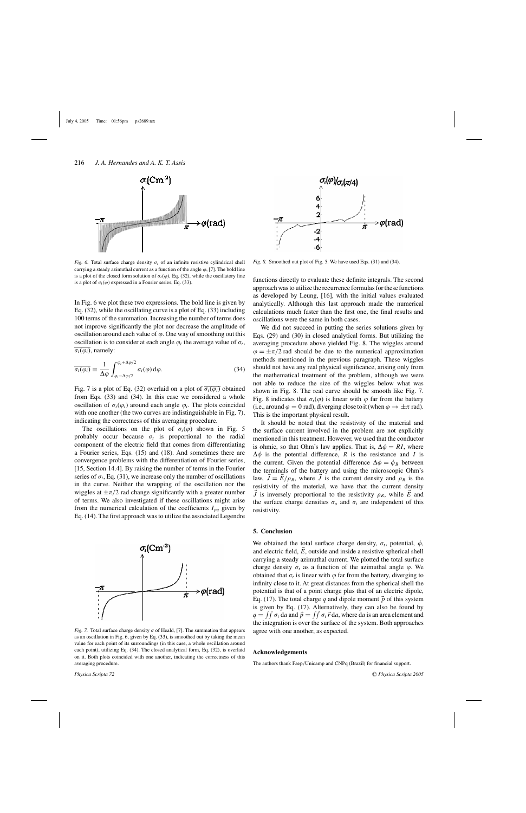

*Fig. 6.* Total surface charge density  $\sigma_t$  of an infinite resistive cylindrical shell carrying a steady azimuthal current as a function of the angle  $\varphi$ , [7]. The bold line is a plot of the closed form solution of  $\sigma_t(\varphi)$ , Eq. (32), while the oscillatory line is a plot of  $\sigma_t(\varphi)$  expressed in a Fourier series, Eq. (33).

In Fig. 6 we plot these two expressions. The bold line is given by Eq. (32), while the oscillating curve is a plot of Eq. (33) including 100 terms of the summation. Increasing the number of terms does not improve significantly the plot nor decrease the amplitude of oscillation around each value of  $\varphi$ . One way of smoothing out this oscillation is to consider at each angle  $\varphi_i$  the average value of  $\sigma_t$ ,  $\sigma_t(\varphi_i)$ , namely:

$$
\overline{\sigma_t(\varphi_i)} \equiv \frac{1}{\Delta \varphi} \int_{\varphi_i - \Delta \varphi/2}^{\varphi_i + \Delta \varphi/2} \sigma_t(\varphi) d\varphi.
$$
 (34)

Fig. 7 is a plot of Eq. (32) overlaid on a plot of  $\sigma_t(\varphi_i)$  obtained from Eqs. (33) and (34). In this case we considered a whole oscillation of  $\sigma_t(\varphi_i)$  around each angle  $\varphi_i$ . The plots coincided with one another (the two curves are indistinguishable in Fig. 7), indicating the correctness of this averaging procedure.

The oscillations on the plot of  $\sigma_t(\varphi)$  shown in Fig. 5 probably occur because  $\sigma_t$  is proportional to the radial component of the electric field that comes from differentiating a Fourier series, Eqs. (15) and (18). And sometimes there are convergence problems with the differentiation of Fourier series, [15, Section 14.4]. By raising the number of terms in the Fourier series of  $\sigma_t$ , Eq. (31), we increase only the number of oscillations in the curve. Neither the wrapping of the oscillation nor the wiggles at  $\pm \pi/2$  rad change significantly with a greater number of terms. We also investigated if these oscillations might arise from the numerical calculation of the coefficients  $I_{pq}$  given by Eq. (14). The first approach was to utilize the associated Legendre







*Fig. 8.* Smoothed out plot of Fig. 5. We have used Eqs. (31) and (34).

functions directly to evaluate these definite integrals. The second approach was to utilize the recurrence formulas for these functions as developed by Leung, [16], with the initial values evaluated analytically. Although this last approach made the numerical calculations much faster than the first one, the final results and oscillations were the same in both cases.

We did not succeed in putting the series solutions given by Eqs. (29) and (30) in closed analytical forms. But utilizing the averaging procedure above yielded Fig. 8. The wiggles around  $\varphi = \pm \pi/2$  rad should be due to the numerical approximation methods mentioned in the previous paragraph. These wiggles should not have any real physical significance, arising only from the mathematical treatment of the problem, although we were not able to reduce the size of the wiggles below what was shown in Fig. 8. The real curve should be smooth like Fig. 7. Fig. 8 indicates that  $\sigma_t(\varphi)$  is linear with  $\varphi$  far from the battery (i.e., around  $\varphi = 0$  rad), diverging close to it (when  $\varphi \to \pm \pi$  rad). This is the important physical result.

It should be noted that the resistivity of the material and the surface current involved in the problem are not explicitly mentioned in this treatment. However, we used that the conductor is ohmic, so that Ohm's law applies. That is,  $\Delta \phi = RI$ , where  $\Delta \phi$  is the potential difference, R is the resistance and I is the current. Given the potential difference  $\Delta \phi = \phi_B$  between the terminals of the battery and using the microscopic Ohm's law,  $\dot{J} = \dot{E}/\rho_R$ , where  $\dot{J}$  is the current density and  $\rho_R$  is the resistivity of the material, we have that the current density *J* is inversely proportional to the resistivity  $\rho_R$ , while *E* and the surface charge densities  $\sigma$ <sub>o</sub> and  $\sigma$ <sub>i</sub> are independent of this resistivity.

#### **5. Conclusion**

We obtained the total surface charge density,  $\sigma_t$ , potential,  $\phi$ , and electric field,  $\vec{E}$ , outside and inside a resistive spherical shell carrying a steady azimuthal current. We plotted the total surface charge density  $\sigma_t$  as a function of the azimuthal angle  $\varphi$ . We obtained that  $\sigma_t$  is linear with  $\varphi$  far from the battery, diverging to infinity close to it. At great distances from the spherical shell the potential is that of a point charge plus that of an electric dipole, Eq. (17). The total charge q and dipole moment  $\vec{p}$  of this system is given by Eq. (17). Alternatively, they can also be found by  $q = \int \int \sigma_t d\mathbf{a}$  and  $\vec{p} = \int \int \sigma_t \vec{r} \, d\mathbf{a}$ , where da is an area element and the integration is over the surface of the system. Both approaches agree with one another, as expected.

#### **Acknowledgements**

The authors thank Faep/Unicamp and CNPq (Brazil) for financial support.